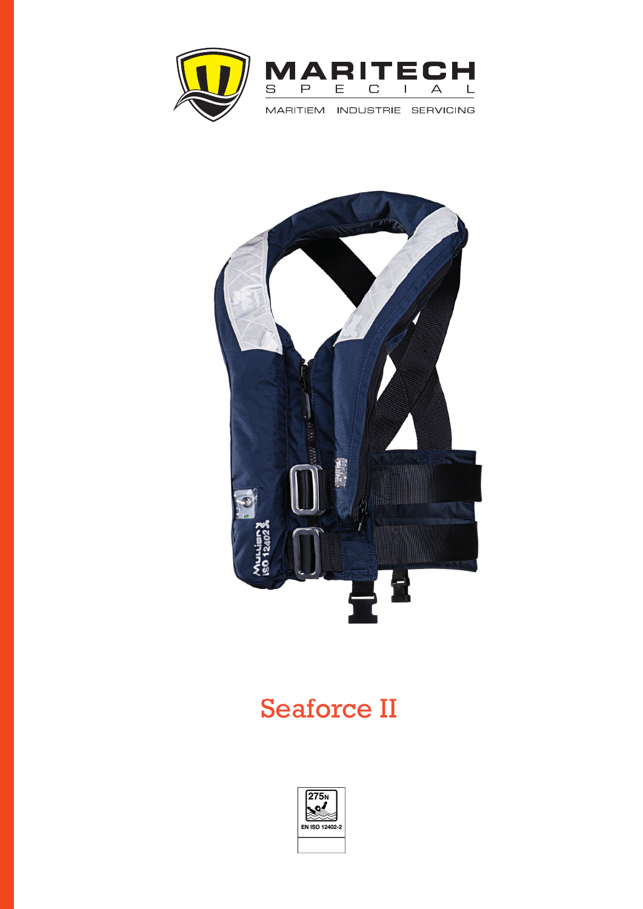



## Seaforce II